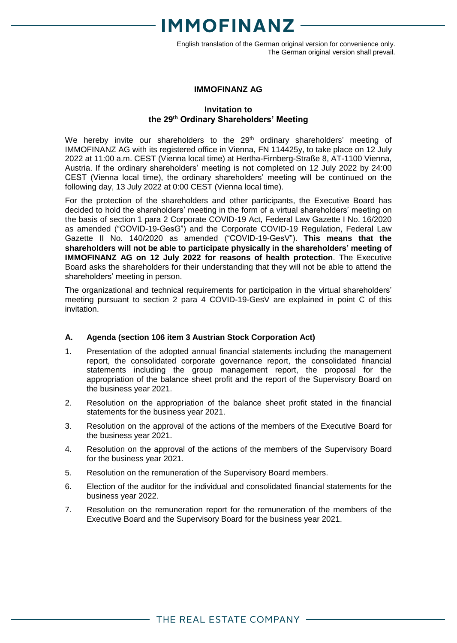English translation of the German original version for convenience only. The German original version shall prevail.

### **IMMOFINANZ AG**

### **Invitation to the 29 th Ordinary Shareholders' Meeting**

We hereby invite our shareholders to the 29<sup>th</sup> ordinary shareholders' meeting of IMMOFINANZ AG with its registered office in Vienna, FN 114425y, to take place on 12 July 2022 at 11:00 a.m. CEST (Vienna local time) at Hertha-Firnberg-Straße 8, AT-1100 Vienna, Austria. If the ordinary shareholders' meeting is not completed on 12 July 2022 by 24:00 CEST (Vienna local time), the ordinary shareholders' meeting will be continued on the following day, 13 July 2022 at 0:00 CEST (Vienna local time).

For the protection of the shareholders and other participants, the Executive Board has decided to hold the shareholders' meeting in the form of a virtual shareholders' meeting on the basis of section 1 para 2 Corporate COVID-19 Act, Federal Law Gazette I No. 16/2020 as amended ("COVID-19-GesG") and the Corporate COVID-19 Regulation, Federal Law Gazette II No. 140/2020 as amended ("COVID-19-GesV"). **This means that the shareholders will not be able to participate physically in the shareholders' meeting of IMMOFINANZ AG on 12 July 2022 for reasons of health protection**. The Executive Board asks the shareholders for their understanding that they will not be able to attend the shareholders' meeting in person.

The organizational and technical requirements for participation in the virtual shareholders' meeting pursuant to section 2 para 4 COVID-19-GesV are explained in point C of this invitation.

## **A. Agenda (section 106 item 3 Austrian Stock Corporation Act)**

- 1. Presentation of the adopted annual financial statements including the management report, the consolidated corporate governance report, the consolidated financial statements including the group management report, the proposal for the appropriation of the balance sheet profit and the report of the Supervisory Board on the business year 2021.
- 2. Resolution on the appropriation of the balance sheet profit stated in the financial statements for the business year 2021.
- 3. Resolution on the approval of the actions of the members of the Executive Board for the business year 2021.
- 4. Resolution on the approval of the actions of the members of the Supervisory Board for the business year 2021.
- 5. Resolution on the remuneration of the Supervisory Board members.
- 6. Election of the auditor for the individual and consolidated financial statements for the business year 2022.
- 7. Resolution on the remuneration report for the remuneration of the members of the Executive Board and the Supervisory Board for the business year 2021.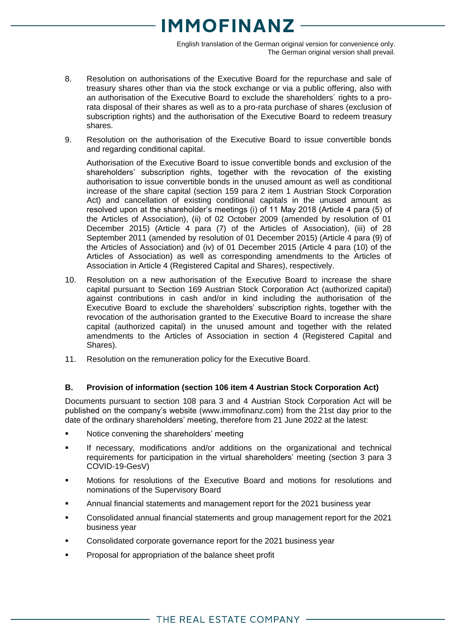English translation of the German original version for convenience only. The German original version shall prevail.

- 8. Resolution on authorisations of the Executive Board for the repurchase and sale of treasury shares other than via the stock exchange or via a public offering, also with an authorisation of the Executive Board to exclude the shareholders´ rights to a prorata disposal of their shares as well as to a pro-rata purchase of shares (exclusion of subscription rights) and the authorisation of the Executive Board to redeem treasury shares.
- 9. Resolution on the authorisation of the Executive Board to issue convertible bonds and regarding conditional capital.

Authorisation of the Executive Board to issue convertible bonds and exclusion of the shareholders' subscription rights, together with the revocation of the existing authorisation to issue convertible bonds in the unused amount as well as conditional increase of the share capital (section 159 para 2 item 1 Austrian Stock Corporation Act) and cancellation of existing conditional capitals in the unused amount as resolved upon at the shareholder's meetings (i) of 11 May 2018 (Article 4 para (5) of the Articles of Association), (ii) of 02 October 2009 (amended by resolution of 01 December 2015) (Article 4 para (7) of the Articles of Association), (iii) of 28 September 2011 (amended by resolution of 01 December 2015) (Article 4 para (9) of the Articles of Association) and (iv) of 01 December 2015 (Article 4 para (10) of the Articles of Association) as well as corresponding amendments to the Articles of Association in Article 4 (Registered Capital and Shares), respectively.

- 10. Resolution on a new authorisation of the Executive Board to increase the share capital pursuant to Section 169 Austrian Stock Corporation Act (authorized capital) against contributions in cash and/or in kind including the authorisation of the Executive Board to exclude the shareholders' subscription rights, together with the revocation of the authorisation granted to the Executive Board to increase the share capital (authorized capital) in the unused amount and together with the related amendments to the Articles of Association in section 4 (Registered Capital and Shares).
- 11. Resolution on the remuneration policy for the Executive Board.

## **B. Provision of information (section 106 item 4 Austrian Stock Corporation Act)**

Documents pursuant to section 108 para 3 and 4 Austrian Stock Corporation Act will be published on the company's website [\(www.immofinanz.com\)](http://www.immofinanz.com/) from the 21st day prior to the date of the ordinary shareholders' meeting, therefore from 21 June 2022 at the latest:

- Notice convening the shareholders' meeting
- If necessary, modifications and/or additions on the organizational and technical requirements for participation in the virtual shareholders' meeting (section 3 para 3 COVID-19-GesV)
- Motions for resolutions of the Executive Board and motions for resolutions and nominations of the Supervisory Board
- Annual financial statements and management report for the 2021 business year
- Consolidated annual financial statements and group management report for the 2021 business year
- Consolidated corporate governance report for the 2021 business year
- Proposal for appropriation of the balance sheet profit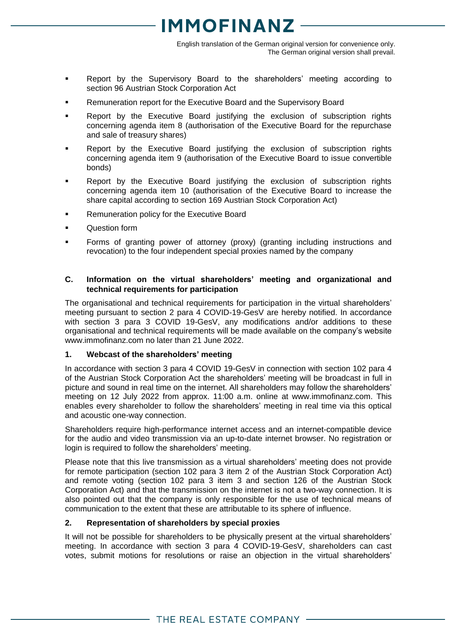English translation of the German original version for convenience only. The German original version shall prevail.

- Report by the Supervisory Board to the shareholders' meeting according to section 96 Austrian Stock Corporation Act
- Remuneration report for the Executive Board and the Supervisory Board
- Report by the Executive Board justifying the exclusion of subscription rights concerning agenda item 8 (authorisation of the Executive Board for the repurchase and sale of treasury shares)
- Report by the Executive Board justifying the exclusion of subscription rights concerning agenda item 9 (authorisation of the Executive Board to issue convertible bonds)
- Report by the Executive Board justifying the exclusion of subscription rights concerning agenda item 10 (authorisation of the Executive Board to increase the share capital according to section 169 Austrian Stock Corporation Act)
- Remuneration policy for the Executive Board
- Question form
- Forms of granting power of attorney (proxy) (granting including instructions and revocation) to the four independent special proxies named by the company

### **C. Information on the virtual shareholders' meeting and organizational and technical requirements for participation**

The organisational and technical requirements for participation in the virtual shareholders' meeting pursuant to section 2 para 4 COVID-19-GesV are hereby notified. In accordance with section 3 para 3 COVID 19-GesV, any modifications and/or additions to these organisational and technical requirements will be made available on the company's website www.immofinanz.com no later than 21 June 2022.

### **1. Webcast of the shareholders' meeting**

In accordance with section 3 para 4 COVID 19-GesV in connection with section 102 para 4 of the Austrian Stock Corporation Act the shareholders' meeting will be broadcast in full in picture and sound in real time on the internet. All shareholders may follow the shareholders' meeting on 12 July 2022 from approx. 11:00 a.m. online at www.immofinanz.com. This enables every shareholder to follow the shareholders' meeting in real time via this optical and acoustic one-way connection.

Shareholders require high-performance internet access and an internet-compatible device for the audio and video transmission via an up-to-date internet browser. No registration or login is required to follow the shareholders' meeting.

Please note that this live transmission as a virtual shareholders' meeting does not provide for remote participation (section 102 para 3 item 2 of the Austrian Stock Corporation Act) and remote voting (section 102 para 3 item 3 and section 126 of the Austrian Stock Corporation Act) and that the transmission on the internet is not a two-way connection. It is also pointed out that the company is only responsible for the use of technical means of communication to the extent that these are attributable to its sphere of influence.

### **2. Representation of shareholders by special proxies**

It will not be possible for shareholders to be physically present at the virtual shareholders' meeting. In accordance with section 3 para 4 COVID-19-GesV, shareholders can cast votes, submit motions for resolutions or raise an objection in the virtual shareholders'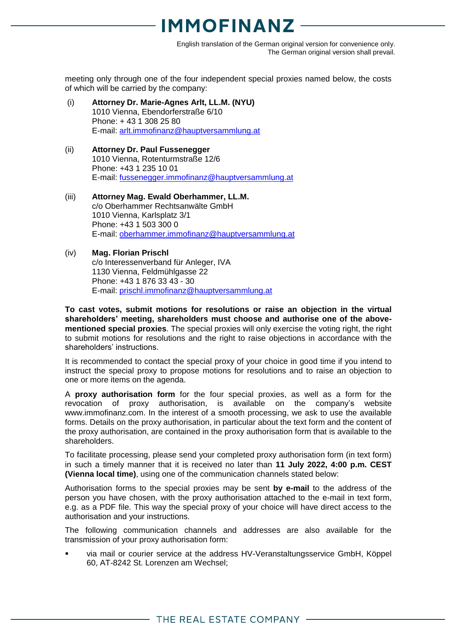English translation of the German original version for convenience only. The German original version shall prevail.

meeting only through one of the four independent special proxies named below, the costs of which will be carried by the company:

- (i) **Attorney Dr. Marie-Agnes Arlt, LL.M. (NYU)** 1010 Vienna, Ebendorferstraße 6/10 Phone: + 43 1 308 25 80 E-mail: arlt.immofinanz@hauptversammlung.at
- (ii) **Attorney Dr. Paul Fussenegger** 1010 Vienna, Rotenturmstraße 12/6 Phone: +43 1 235 10 01 E-mail: [fussenegger.immofinanz@hauptversammlung.at](mailto:fussenegger.immofinanz@hauptversammlung.at)
- (iii) **Attorney Mag. Ewald Oberhammer, LL.M.** c/o Oberhammer Rechtsanwälte GmbH 1010 Vienna, Karlsplatz 3/1 Phone: +43 1 503 300 0 E-mail: [oberhammer.immofinanz@hauptversammlung.at](mailto:oberhammer.immofinanz@hauptversammlung.at)
- (iv) **Mag. Florian Prischl** c/o Interessenverband für Anleger, IVA 1130 Vienna, Feldmühlgasse 22 Phone: +43 1 876 33 43 - 30 E-mail: [prischl.immofinanz@hauptversammlung.at](mailto:prischl.immofinanz@hauptversammlung.at)

**To cast votes, submit motions for resolutions or raise an objection in the virtual shareholders' meeting, shareholders must choose and authorise one of the abovementioned special proxies**. The special proxies will only exercise the voting right, the right to submit motions for resolutions and the right to raise objections in accordance with the shareholders' instructions.

It is recommended to contact the special proxy of your choice in good time if you intend to instruct the special proxy to propose motions for resolutions and to raise an objection to one or more items on the agenda.

A **proxy authorisation form** for the four special proxies, as well as a form for the revocation of proxy authorisation, is available on the company's website www.immofinanz.com. In the interest of a smooth processing, we ask to use the available forms. Details on the proxy authorisation, in particular about the text form and the content of the proxy authorisation, are contained in the proxy authorisation form that is available to the shareholders.

To facilitate processing, please send your completed proxy authorisation form (in text form) in such a timely manner that it is received no later than **11 July 2022, 4:00 p.m. CEST (Vienna local time)**, using one of the communication channels stated below:

Authorisation forms to the special proxies may be sent **by e-mail** to the address of the person you have chosen, with the proxy authorisation attached to the e-mail in text form, e.g. as a PDF file. This way the special proxy of your choice will have direct access to the authorisation and your instructions.

The following communication channels and addresses are also available for the transmission of your proxy authorisation form:

 via mail or courier service at the address HV-Veranstaltungsservice GmbH, Köppel 60, AT-8242 St. Lorenzen am Wechsel;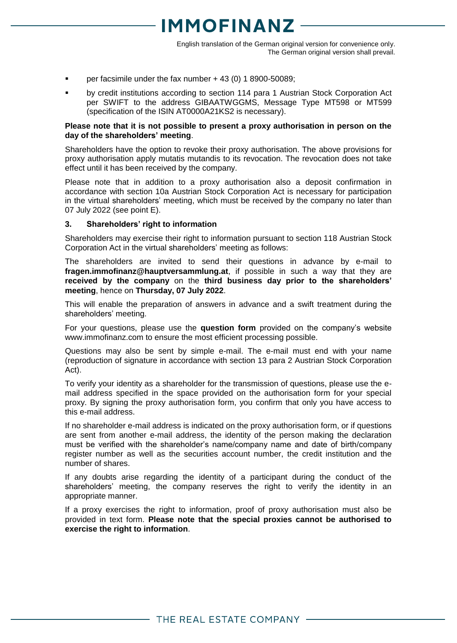# 1MOEINANZ

English translation of the German original version for convenience only. The German original version shall prevail.

- per facsimile under the fax number + 43 (0) 1 8900-50089;
- by credit institutions according to section 114 para 1 Austrian Stock Corporation Act per SWIFT to the address GIBAATWGGMS, Message Type MT598 or MT599 (specification of the ISIN AT0000A21KS2 is necessary).

#### **Please note that it is not possible to present a proxy authorisation in person on the day of the shareholders' meeting**.

Shareholders have the option to revoke their proxy authorisation. The above provisions for proxy authorisation apply mutatis mutandis to its revocation. The revocation does not take effect until it has been received by the company.

Please note that in addition to a proxy authorisation also a deposit confirmation in accordance with section 10a Austrian Stock Corporation Act is necessary for participation in the virtual shareholders' meeting, which must be received by the company no later than 07 July 2022 (see point E).

### **3. Shareholders' right to information**

Shareholders may exercise their right to information pursuant to section 118 Austrian Stock Corporation Act in the virtual shareholders' meeting as follows:

The shareholders are invited to send their questions in advance by e-mail to **fragen.immofinanz@hauptversammlung.at**, if possible in such a way that they are **received by the company** on the **third business day prior to the shareholders' meeting**, hence on **Thursday, 07 July 2022**.

This will enable the preparation of answers in advance and a swift treatment during the shareholders' meeting.

For your questions, please use the **question form** provided on the company's website www.immofinanz.com to ensure the most efficient processing possible.

Questions may also be sent by simple e-mail. The e-mail must end with your name (reproduction of signature in accordance with section 13 para 2 Austrian Stock Corporation Act).

To verify your identity as a shareholder for the transmission of questions, please use the email address specified in the space provided on the authorisation form for your special proxy. By signing the proxy authorisation form, you confirm that only you have access to this e-mail address.

If no shareholder e-mail address is indicated on the proxy authorisation form, or if questions are sent from another e-mail address, the identity of the person making the declaration must be verified with the shareholder's name/company name and date of birth/company register number as well as the securities account number, the credit institution and the number of shares.

If any doubts arise regarding the identity of a participant during the conduct of the shareholders' meeting, the company reserves the right to verify the identity in an appropriate manner.

If a proxy exercises the right to information, proof of proxy authorisation must also be provided in text form. **Please note that the special proxies cannot be authorised to exercise the right to information**.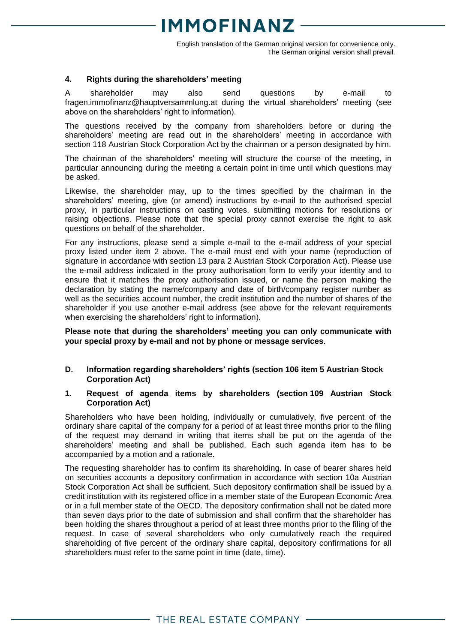# 1MOEINANZ

English translation of the German original version for convenience only. The German original version shall prevail.

### **4. Rights during the shareholders' meeting**

A shareholder may also send questions by e-mail to fragen.immofinanz@hauptversammlung.at during the virtual shareholders' meeting (see above on the shareholders' right to information).

The questions received by the company from shareholders before or during the shareholders' meeting are read out in the shareholders' meeting in accordance with section 118 Austrian Stock Corporation Act by the chairman or a person designated by him.

The chairman of the shareholders' meeting will structure the course of the meeting, in particular announcing during the meeting a certain point in time until which questions may be asked.

Likewise, the shareholder may, up to the times specified by the chairman in the shareholders' meeting, give (or amend) instructions by e-mail to the authorised special proxy, in particular instructions on casting votes, submitting motions for resolutions or raising objections. Please note that the special proxy cannot exercise the right to ask questions on behalf of the shareholder.

For any instructions, please send a simple e-mail to the e-mail address of your special proxy listed under item 2 above. The e-mail must end with your name (reproduction of signature in accordance with section 13 para 2 Austrian Stock Corporation Act). Please use the e-mail address indicated in the proxy authorisation form to verify your identity and to ensure that it matches the proxy authorisation issued, or name the person making the declaration by stating the name/company and date of birth/company register number as well as the securities account number, the credit institution and the number of shares of the shareholder if you use another e-mail address (see above for the relevant requirements when exercising the shareholders' right to information).

### **Please note that during the shareholders' meeting you can only communicate with your special proxy by e-mail and not by phone or message services**.

- **D. Information regarding shareholders' rights (section 106 item 5 Austrian Stock Corporation Act)**
- **1. Request of agenda items by shareholders (section 109 Austrian Stock Corporation Act)**

Shareholders who have been holding, individually or cumulatively, five percent of the ordinary share capital of the company for a period of at least three months prior to the filing of the request may demand in writing that items shall be put on the agenda of the shareholders' meeting and shall be published. Each such agenda item has to be accompanied by a motion and a rationale.

The requesting shareholder has to confirm its shareholding. In case of bearer shares held on securities accounts a depository confirmation in accordance with section 10a Austrian Stock Corporation Act shall be sufficient. Such depository confirmation shall be issued by a credit institution with its registered office in a member state of the European Economic Area or in a full member state of the OECD. The depository confirmation shall not be dated more than seven days prior to the date of submission and shall confirm that the shareholder has been holding the shares throughout a period of at least three months prior to the filing of the request. In case of several shareholders who only cumulatively reach the required shareholding of five percent of the ordinary share capital, depository confirmations for all shareholders must refer to the same point in time (date, time).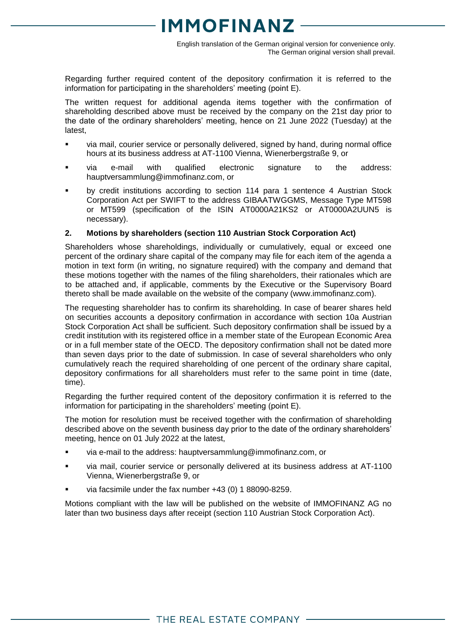English translation of the German original version for convenience only. The German original version shall prevail.

Regarding further required content of the depository confirmation it is referred to the information for participating in the shareholders' meeting (point E).

The written request for additional agenda items together with the confirmation of shareholding described above must be received by the company on the 21st day prior to the date of the ordinary shareholders' meeting, hence on 21 June 2022 (Tuesday) at the latest,

- via mail, courier service or personally delivered, signed by hand, during normal office hours at its business address at AT-1100 Vienna, Wienerbergstraße 9, or
- via e-mail with qualified electronic signature to the address: [hauptversammlung@immofinanz.com,](mailto:hauptversammlung@immofinanz.com) or
- by credit institutions according to section 114 para 1 sentence 4 Austrian Stock Corporation Act per SWIFT to the address GIBAATWGGMS, Message Type MT598 or MT599 (specification of the ISIN AT0000A21KS2 or AT0000A2UUN5 is necessary).

### **2. Motions by shareholders (section 110 Austrian Stock Corporation Act)**

Shareholders whose shareholdings, individually or cumulatively, equal or exceed one percent of the ordinary share capital of the company may file for each item of the agenda a motion in text form (in writing, no signature required) with the company and demand that these motions together with the names of the filing shareholders, their rationales which are to be attached and, if applicable, comments by the Executive or the Supervisory Board thereto shall be made available on the website of the company [\(www.immofinanz.com\)](http://www.immofinanz.com/).

The requesting shareholder has to confirm its shareholding. In case of bearer shares held on securities accounts a depository confirmation in accordance with section 10a Austrian Stock Corporation Act shall be sufficient. Such depository confirmation shall be issued by a credit institution with its registered office in a member state of the European Economic Area or in a full member state of the OECD. The depository confirmation shall not be dated more than seven days prior to the date of submission. In case of several shareholders who only cumulatively reach the required shareholding of one percent of the ordinary share capital, depository confirmations for all shareholders must refer to the same point in time (date, time).

Regarding the further required content of the depository confirmation it is referred to the information for participating in the shareholders' meeting (point E).

The motion for resolution must be received together with the confirmation of shareholding described above on the seventh business day prior to the date of the ordinary shareholders' meeting, hence on 01 July 2022 at the latest,

- via e-mail to the address: [hauptversammlung@immofinanz.com,](mailto:hauptversammlung@immofinanz.com) or
- via mail, courier service or personally delivered at its business address at AT-1100 Vienna, Wienerbergstraße 9, or
- via facsimile under the fax number +43 (0) 1 88090-8259.

Motions compliant with the law will be published on the website of IMMOFINANZ AG no later than two business days after receipt (section 110 Austrian Stock Corporation Act).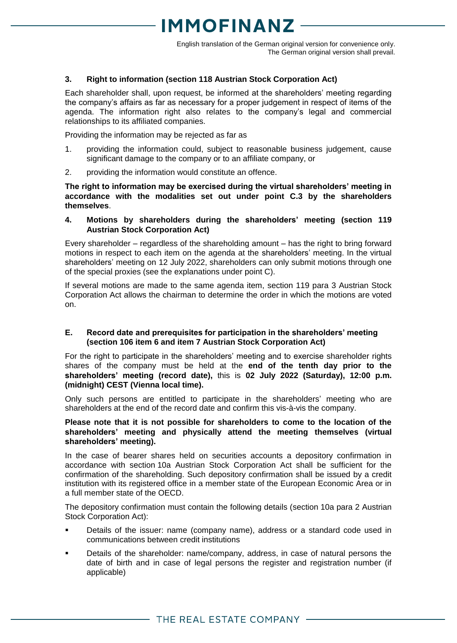English translation of the German original version for convenience only. The German original version shall prevail.

### **3. Right to information (section 118 Austrian Stock Corporation Act)**

Each shareholder shall, upon request, be informed at the shareholders' meeting regarding the company's affairs as far as necessary for a proper judgement in respect of items of the agenda. The information right also relates to the company's legal and commercial relationships to its affiliated companies.

Providing the information may be rejected as far as

- 1. providing the information could, subject to reasonable business judgement, cause significant damage to the company or to an affiliate company, or
- 2. providing the information would constitute an offence.

**The right to information may be exercised during the virtual shareholders' meeting in accordance with the modalities set out under point C.3 by the shareholders themselves**.

### **4. Motions by shareholders during the shareholders' meeting (section 119 Austrian Stock Corporation Act)**

Every shareholder – regardless of the shareholding amount – has the right to bring forward motions in respect to each item on the agenda at the shareholders' meeting. In the virtual shareholders' meeting on 12 July 2022, shareholders can only submit motions through one of the special proxies (see the explanations under point C).

If several motions are made to the same agenda item, section 119 para 3 Austrian Stock Corporation Act allows the chairman to determine the order in which the motions are voted on.

### **E. Record date and prerequisites for participation in the shareholders' meeting (section 106 item 6 and item 7 Austrian Stock Corporation Act)**

For the right to participate in the shareholders' meeting and to exercise shareholder rights shares of the company must be held at the **end of the tenth day prior to the shareholders' meeting (record date),** this is **02 July 2022 (Saturday), 12:00 p.m. (midnight) CEST (Vienna local time).**

Only such persons are entitled to participate in the shareholders' meeting who are shareholders at the end of the record date and confirm this vis-à-vis the company.

### **Please note that it is not possible for shareholders to come to the location of the shareholders' meeting and physically attend the meeting themselves (virtual shareholders' meeting).**

In the case of bearer shares held on securities accounts a depository confirmation in accordance with section 10a Austrian Stock Corporation Act shall be sufficient for the confirmation of the shareholding. Such depository confirmation shall be issued by a credit institution with its registered office in a member state of the European Economic Area or in a full member state of the OECD.

The depository confirmation must contain the following details (section 10a para 2 Austrian Stock Corporation Act):

- Details of the issuer: name (company name), address or a standard code used in communications between credit institutions
- Details of the shareholder: name/company, address, in case of natural persons the date of birth and in case of legal persons the register and registration number (if applicable)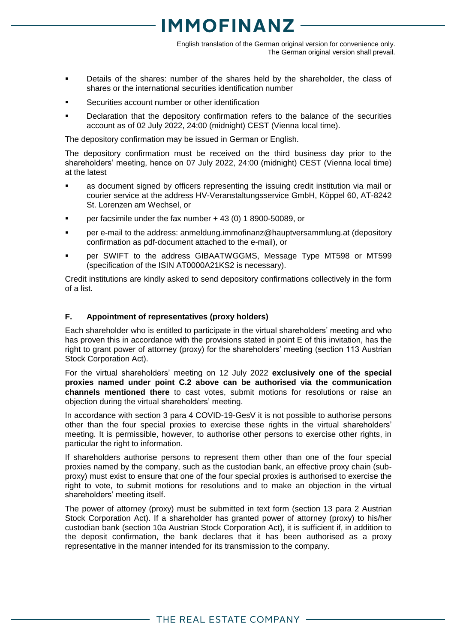English translation of the German original version for convenience only. The German original version shall prevail.

- Details of the shares: number of the shares held by the shareholder, the class of shares or the international securities identification number
- Securities account number or other identification
- Declaration that the depository confirmation refers to the balance of the securities account as of 02 July 2022, 24:00 (midnight) CEST (Vienna local time).

The depository confirmation may be issued in German or English.

The depository confirmation must be received on the third business day prior to the shareholders' meeting, hence on 07 July 2022, 24:00 (midnight) CEST (Vienna local time) at the latest

- as document signed by officers representing the issuing credit institution via mail or courier service at the address HV-Veranstaltungsservice GmbH, Köppel 60, AT-8242 St. Lorenzen am Wechsel, or
- per facsimile under the fax number  $+43(0)$  1 8900-50089, or
- per e-mail to the address: [anmeldung.immofinanz@hauptversammlung.at](mailto:anmeldung.immofinanz@hauptversammlung.at) (depository confirmation as pdf-document attached to the e-mail), or
- per SWIFT to the address GIBAATWGGMS, Message Type MT598 or MT599 (specification of the ISIN AT0000A21KS2 is necessary).

Credit institutions are kindly asked to send depository confirmations collectively in the form of a list.

### **F. Appointment of representatives (proxy holders)**

Each shareholder who is entitled to participate in the virtual shareholders' meeting and who has proven this in accordance with the provisions stated in point E of this invitation, has the right to grant power of attorney (proxy) for the shareholders' meeting (section 113 Austrian Stock Corporation Act).

For the virtual shareholders' meeting on 12 July 2022 **exclusively one of the special proxies named under point C.2 above can be authorised via the communication channels mentioned there** to cast votes, submit motions for resolutions or raise an objection during the virtual shareholders' meeting.

In accordance with section 3 para 4 COVID-19-GesV it is not possible to authorise persons other than the four special proxies to exercise these rights in the virtual shareholders' meeting. It is permissible, however, to authorise other persons to exercise other rights, in particular the right to information.

If shareholders authorise persons to represent them other than one of the four special proxies named by the company, such as the custodian bank, an effective proxy chain (subproxy) must exist to ensure that one of the four special proxies is authorised to exercise the right to vote, to submit motions for resolutions and to make an objection in the virtual shareholders' meeting itself.

The power of attorney (proxy) must be submitted in text form (section 13 para 2 Austrian Stock Corporation Act). If a shareholder has granted power of attorney (proxy) to his/her custodian bank (section 10a Austrian Stock Corporation Act), it is sufficient if, in addition to the deposit confirmation, the bank declares that it has been authorised as a proxy representative in the manner intended for its transmission to the company.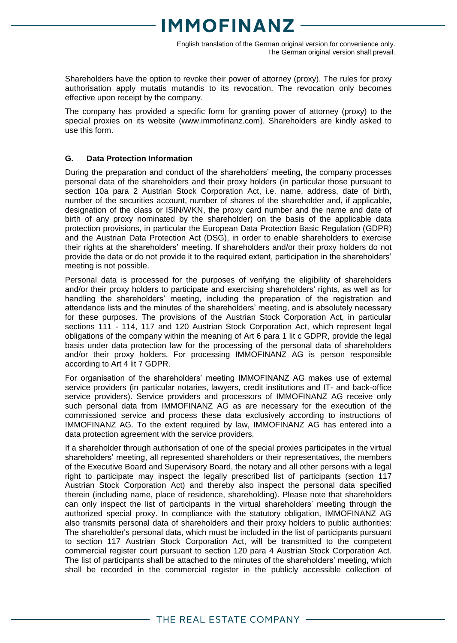English translation of the German original version for convenience only. The German original version shall prevail.

Shareholders have the option to revoke their power of attorney (proxy). The rules for proxy authorisation apply mutatis mutandis to its revocation. The revocation only becomes effective upon receipt by the company.

The company has provided a specific form for granting power of attorney (proxy) to the special proxies on its website (www.immofinanz.com). Shareholders are kindly asked to use this form.

### **G. Data Protection Information**

During the preparation and conduct of the shareholders' meeting, the company processes personal data of the shareholders and their proxy holders (in particular those pursuant to section 10a para 2 Austrian Stock Corporation Act, i.e. name, address, date of birth, number of the securities account, number of shares of the shareholder and, if applicable, designation of the class or ISIN/WKN, the proxy card number and the name and date of birth of any proxy nominated by the shareholder) on the basis of the applicable data protection provisions, in particular the European Data Protection Basic Regulation (GDPR) and the Austrian Data Protection Act (DSG), in order to enable shareholders to exercise their rights at the shareholders' meeting. If shareholders and/or their proxy holders do not provide the data or do not provide it to the required extent, participation in the shareholders' meeting is not possible.

Personal data is processed for the purposes of verifying the eligibility of shareholders and/or their proxy holders to participate and exercising shareholders' rights, as well as for handling the shareholders' meeting, including the preparation of the registration and attendance lists and the minutes of the shareholders' meeting, and is absolutely necessary for these purposes. The provisions of the Austrian Stock Corporation Act, in particular sections 111 - 114, 117 and 120 Austrian Stock Corporation Act, which represent legal obligations of the company within the meaning of Art 6 para 1 lit c GDPR, provide the legal basis under data protection law for the processing of the personal data of shareholders and/or their proxy holders. For processing IMMOFINANZ AG is person responsible according to Art 4 lit 7 GDPR.

For organisation of the shareholders' meeting IMMOFINANZ AG makes use of external service providers (in particular notaries, lawyers, credit institutions and IT- and back-office service providers). Service providers and processors of IMMOFINANZ AG receive only such personal data from IMMOFINANZ AG as are necessary for the execution of the commissioned service and process these data exclusively according to instructions of IMMOFINANZ AG. To the extent required by law, IMMOFINANZ AG has entered into a data protection agreement with the service providers.

If a shareholder through authorisation of one of the special proxies participates in the virtual shareholders' meeting, all represented shareholders or their representatives, the members of the Executive Board and Supervisory Board, the notary and all other persons with a legal right to participate may inspect the legally prescribed list of participants (section 117 Austrian Stock Corporation Act) and thereby also inspect the personal data specified therein (including name, place of residence, shareholding). Please note that shareholders can only inspect the list of participants in the virtual shareholders' meeting through the authorized special proxy. In compliance with the statutory obligation, IMMOFINANZ AG also transmits personal data of shareholders and their proxy holders to public authorities: The shareholder's personal data, which must be included in the list of participants pursuant to section 117 Austrian Stock Corporation Act, will be transmitted to the competent commercial register court pursuant to section 120 para 4 Austrian Stock Corporation Act. The list of participants shall be attached to the minutes of the shareholders' meeting, which shall be recorded in the commercial register in the publicly accessible collection of